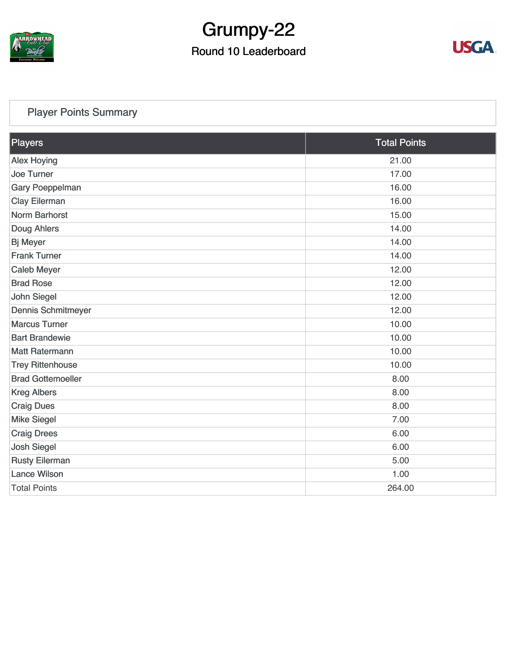

# Grumpy-22

#### Round 10 Leaderboard



#### [Player Points Summary](https://static.golfgenius.com/v2tournaments/total_points?league_id=8123139340541895924&round_id=8123140188059739513)

| Players                   | <b>Total Points</b> |  |
|---------------------------|---------------------|--|
| <b>Alex Hoying</b>        | 21.00               |  |
| <b>Joe Turner</b>         | 17.00               |  |
| <b>Gary Poeppelman</b>    | 16.00               |  |
| <b>Clay Eilerman</b>      | 16.00               |  |
| <b>Norm Barhorst</b>      | 15.00               |  |
| Doug Ahlers               | 14.00               |  |
| <b>Bj Meyer</b>           | 14.00               |  |
| <b>Frank Turner</b>       | 14.00               |  |
| <b>Caleb Meyer</b>        | 12.00               |  |
| <b>Brad Rose</b>          | 12.00               |  |
| <b>John Siegel</b>        | 12.00               |  |
| <b>Dennis Schmitmeyer</b> | 12.00               |  |
| <b>Marcus Turner</b>      | 10.00               |  |
| <b>Bart Brandewie</b>     | 10.00               |  |
| <b>Matt Ratermann</b>     | 10.00               |  |
| <b>Trey Rittenhouse</b>   | 10.00               |  |
| <b>Brad Gottemoeller</b>  | 8.00                |  |
| <b>Kreg Albers</b>        | 8.00                |  |
| <b>Craig Dues</b>         | 8.00                |  |
| <b>Mike Siegel</b>        | 7.00                |  |
| <b>Craig Drees</b>        | 6.00                |  |
| <b>Josh Siegel</b>        | 6.00                |  |
| <b>Rusty Eilerman</b>     | 5.00                |  |
| <b>Lance Wilson</b>       | 1.00                |  |
| <b>Total Points</b>       | 264.00              |  |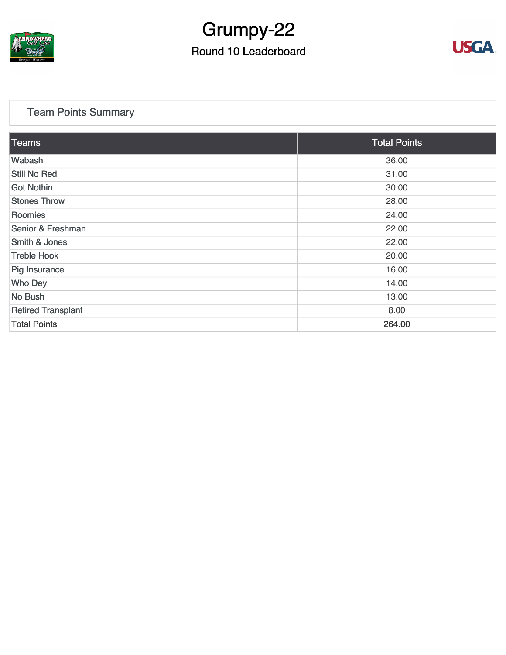

# Grumpy-22

#### Round 10 Leaderboard



#### [Team Points Summary](https://static.golfgenius.com/v2tournaments/team_points?league_id=8123139340541895924&round_id=8123140188059739513)

| Teams                     | <b>Total Points</b> |  |
|---------------------------|---------------------|--|
| Wabash                    | 36.00               |  |
| Still No Red              | 31.00               |  |
| <b>Got Nothin</b>         | 30.00               |  |
| <b>Stones Throw</b>       | 28.00               |  |
| Roomies                   | 24.00               |  |
| Senior & Freshman         | 22.00               |  |
| Smith & Jones             | 22.00               |  |
| <b>Treble Hook</b>        | 20.00               |  |
| Pig Insurance             | 16.00               |  |
| <b>Who Dey</b>            | 14.00               |  |
| No Bush                   | 13.00               |  |
| <b>Retired Transplant</b> | 8.00                |  |
| <b>Total Points</b>       | 264.00              |  |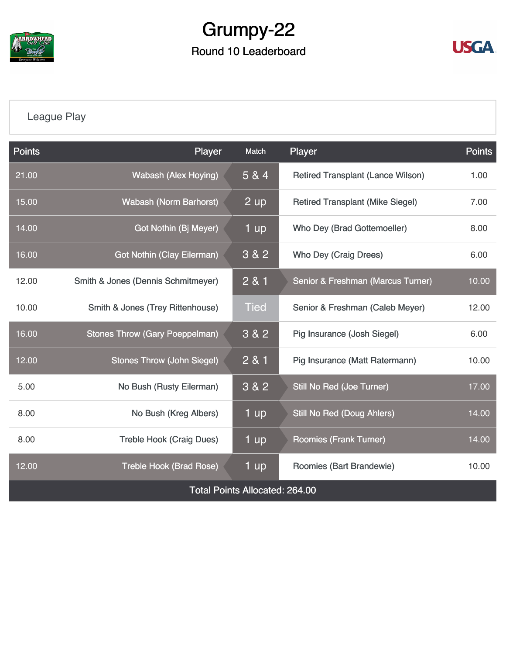

## Grumpy-22 Round 10 Leaderboard



### [League Play](https://static.golfgenius.com/v2tournaments/8123149509279622314?called_from=&round_index=10)

| <b>Points</b>                         | Player                                | <b>Match</b> | Player                                   | <b>Points</b> |  |  |
|---------------------------------------|---------------------------------------|--------------|------------------------------------------|---------------|--|--|
| 21.00                                 | <b>Wabash (Alex Hoying)</b>           | 5 & 4        | <b>Retired Transplant (Lance Wilson)</b> | 1.00          |  |  |
| 15.00                                 | <b>Wabash (Norm Barhorst)</b>         | 2 up         | <b>Retired Transplant (Mike Siegel)</b>  | 7.00          |  |  |
| 14.00                                 | Got Nothin (Bj Meyer)                 | 1 up         | Who Dey (Brad Gottemoeller)              | 8.00          |  |  |
| 16.00                                 | <b>Got Nothin (Clay Eilerman)</b>     | 3 & 2        | <b>Who Dey (Craig Drees)</b>             |               |  |  |
| 12.00                                 | Smith & Jones (Dennis Schmitmeyer)    | 2 & 1        | Senior & Freshman (Marcus Turner)        | 10.00         |  |  |
| 10.00                                 | Smith & Jones (Trey Rittenhouse)      | <b>Tied</b>  | Senior & Freshman (Caleb Meyer)          | 12.00         |  |  |
| 16.00                                 | <b>Stones Throw (Gary Poeppelman)</b> | 3 & 2        | Pig Insurance (Josh Siegel)              | 6.00          |  |  |
| 12.00                                 | <b>Stones Throw (John Siegel)</b>     | 2 & 1        | Pig Insurance (Matt Ratermann)           |               |  |  |
| 5.00                                  | No Bush (Rusty Eilerman)              | 3 & 2        | <b>Still No Red (Joe Turner)</b>         |               |  |  |
| 8.00                                  | No Bush (Kreg Albers)                 | 1 up         | <b>Still No Red (Doug Ahlers)</b>        | 14.00         |  |  |
| 8.00                                  | <b>Treble Hook (Craig Dues)</b>       | 1 up         | <b>Roomies (Frank Turner)</b>            | 14.00         |  |  |
| 12.00                                 | <b>Treble Hook (Brad Rose)</b>        | 1 up         | Roomies (Bart Brandewie)                 | 10.00         |  |  |
| <b>Total Points Allocated: 264.00</b> |                                       |              |                                          |               |  |  |